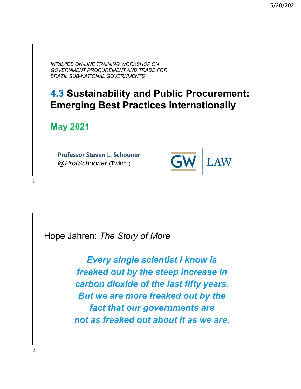*INTAL/IDB ON-LINE TRAINING WORKSHOP ON GOVERNMENT PROCUREMENT AND TRADE FOR BRAZIL SUB-NATIONAL GOVERNMENTS*

# **4.3 Sustainability and Public Procurement: Emerging Best Practices Internationally**

 $\mathsf{G}$ 

**LAW** 

**May 2021**

**Professor Steven L. Schooner** *@ProfSchooner* (Twitter)

Hope Jahren: *The Story of More*

*Every single scientist I know is freaked out by the steep increase in carbon dioxide of the last fifty years. But we are more freaked out by the fact that our governments are not as freaked out about it as we are.*

2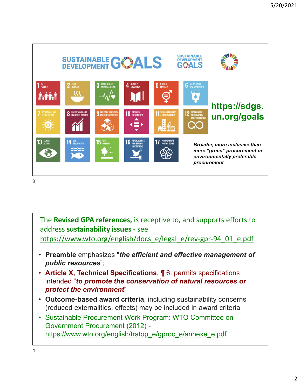

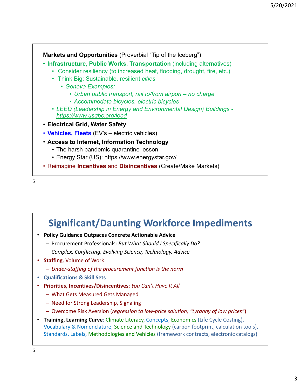

### **Significant/Daunting Workforce Impediments**

- **Policy Guidance Outpaces Concrete Actionable Advice**
	- Procurement Professionals: *But What Should I Specifically Do?*
	- *Complex, Conflicting, Evolving Science, Technology, Advice*
- **Staffing**, Volume of Work
	- *Under‐staffing of the procurement function is the norm*
- **Qualifications & Skill Sets**
- **Priorities, Incentives/Disincentives**: *You Can't Have It All*
	- What Gets Measured Gets Managed
	- Need for Strong Leadership, Signaling
	- Overcome Risk Aversion (*regression to low‐price solution; "tyranny of low prices"*)
- **Training, Learning Curve**: Climate Literacy, Concepts, Economics (Life Cycle Costing), Vocabulary & Nomenclature, Science and Technology (carbon footprint, calculation tools), Standards, Labels, Methodologies and Vehicles (framework contracts, electronic catalogs)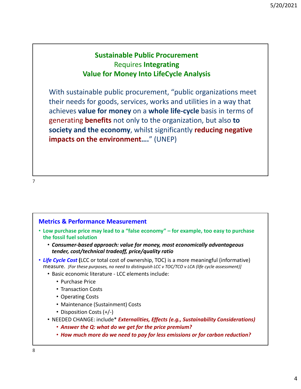### **Sustainable Public Procurement** Requires **Integrating Value for Money Into LifeCycle Analysis**

With sustainable public procurement, "public organizations meet their needs for goods, services, works and utilities in a way that achieves **value for money** on a **whole life‐cycle** basis in terms of generating **benefits** not only to the organization, but also **to society and the economy**, whilst significantly **reducing negative impacts on the environment….**" (UNEP)

7

#### **Metrics & Performance Measurement**

- **Low purchase price may lead to a "false economy" for example, too easy to purchase the fossil fuel solution**
	- *Consumer‐based approach: value for money, most economically advantageous tender, cost/technical tradeoff, price/quality ratio*
- *Life Cycle Cost* **(**LCC or total cost of ownership, TOC) is a more meaningful (informative) measure. *[For these purposes, no need to distinguish LCC v TOC/TCO v LCA (life cycle assessment)]*
	- Basic economic literature ‐ LCC elements include:
		- Purchase Price
		- Transaction Costs
		- Operating Costs
		- Maintenance (Sustainment) Costs
		- Disposition Costs (+/-)
	- NEEDED CHANGE: include\* *Externalities, Effects (e.g., Sustainability Considerations)*
		- *Answer the Q: what do we get for the price premium?*
		- *How much more do we need to pay for less emissions or for carbon reduction?*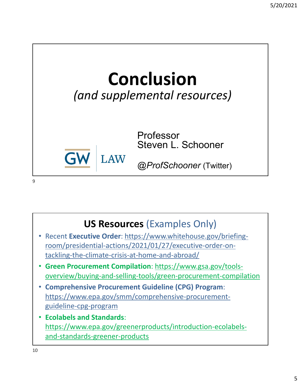# **Conclusion** *(and supplemental resources)*



Professor Steven L. Schooner

*@ProfSchooner* (Twitter)

# **US Resources** (Examples Only)

- Recent **Executive Order**: https://www.whitehouse.gov/briefing‐ room/presidential‐actions/2021/01/27/executive‐order‐on‐ tackling‐the‐climate‐crisis‐at‐home‐and‐abroad/
- **Green Procurement Compilation**: https://www.gsa.gov/tools‐ overview/buying‐and‐selling‐tools/green‐procurement‐compilation
- **Comprehensive Procurement Guideline (CPG) Program**: https://www.epa.gov/smm/comprehensive‐procurement‐ guideline‐cpg‐program
- **Ecolabels and Standards**: https://www.epa.gov/greenerproducts/introduction‐ecolabels‐ and‐standards‐greener‐products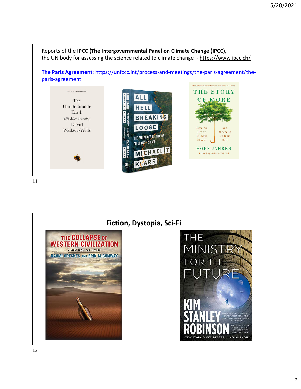

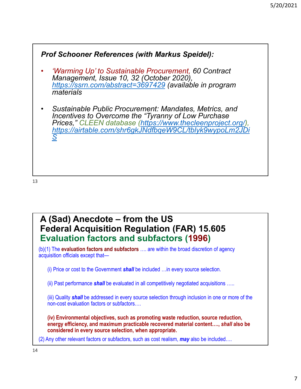

13

### **A (Sad) Anecdote – from the US Federal Acquisition Regulation (FAR) 15.605 Evaluation factors and subfactors (1996)**

(b)(1) The **evaluation factors and subfactors** …. are within the broad discretion of agency acquisition officials except that—

(i) Price or cost to the Government *shall* be included …in every source selection.

(ii) Past performance *shall* be evaluated in all competitively negotiated acquisitions …..

(iii) Quality *shall* be addressed in every source selection through inclusion in one or more of the non-cost evaluation factors or subfactors….

**(iv) Environmental objectives, such as promoting waste reduction, source reduction, energy efficiency, and maximum practicable recovered material content….,** *shall* **also be considered in every source selection, when appropriate.**

(2) Any other relevant factors or subfactors, such as cost realism, *may* also be included….